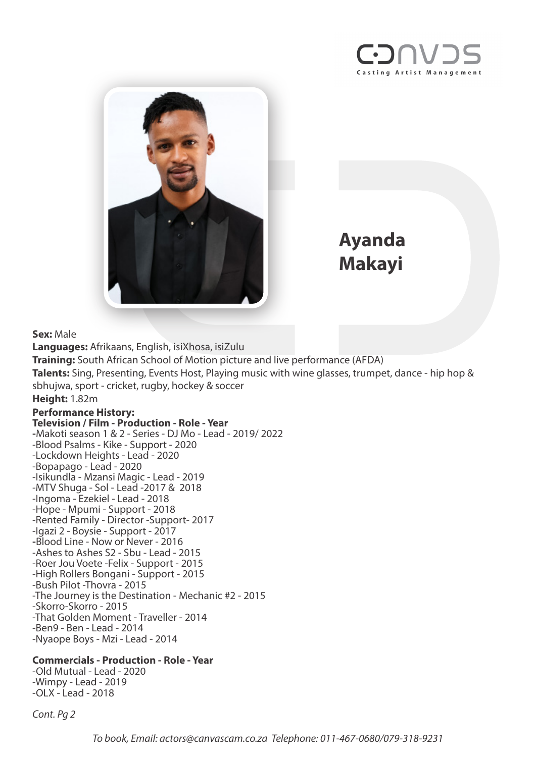



**Ayanda Makayi**

**Sex:** Male

**Languages:** Afrikaans, English, isiXhosa, isiZulu **Training:** South African School of Motion picture and live performance (AFDA) **Talents:** Sing, Presenting, Events Host, Playing music with wine glasses, trumpet, dance - hip hop & sbhujwa, sport - cricket, rugby, hockey & soccer

## **Height:** 1.82m

## **Performance History: Television / Film - Production - Role - Year**

**-**Makoti season 1 & 2 - Series - DJ Mo - Lead - 2019/ 2022 -Blood Psalms - Kike - Support - 2020 -Lockdown Heights - Lead - 2020 -Bopapago - Lead - 2020 -Isikundla - Mzansi Magic - Lead - 2019 -MTV Shuga - Sol - Lead -2017 & 2018 -Ingoma - Ezekiel - Lead - 2018 -Hope - Mpumi - Support - 2018 -Rented Family - Director -Support- 2017 -Igazi 2 - Boysie - Support - 2017 **-**Blood Line - Now or Never - 2016 -Ashes to Ashes S2 - Sbu - Lead - 2015 -Roer Jou Voete -Felix - Support - 2015 -High Rollers Bongani - Support - 2015 -Bush Pilot -Thovra - 2015 -The Journey is the Destination - Mechanic #2 - 2015 -Skorro-Skorro - 2015 -That Golden Moment - Traveller - 2014 -Ben9 - Ben - Lead - 2014 -Nyaope Boys - Mzi - Lead - 2014

## **Commercials - Production - Role - Year**

-Old Mutual - Lead - 2020 -Wimpy - Lead - 2019 -OLX - Lead - 2018

*Cont. Pg 2*